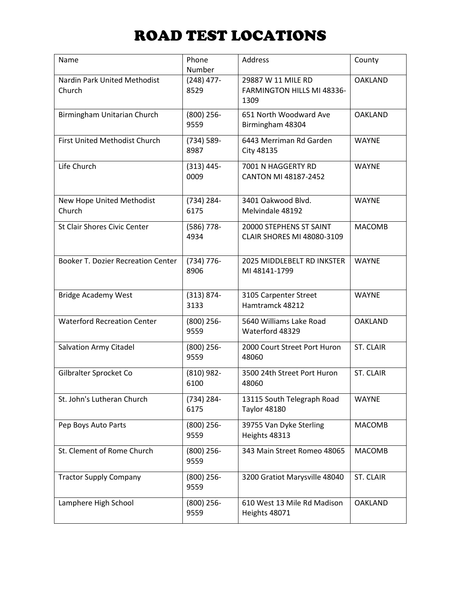| Name                                      | Phone<br>Number       | Address                                                  | County           |
|-------------------------------------------|-----------------------|----------------------------------------------------------|------------------|
| Nardin Park United Methodist<br>Church    | $(248)$ 477-<br>8529  | 29887 W 11 MILE RD<br>FARMINGTON HILLS MI 48336-<br>1309 | <b>OAKLAND</b>   |
| Birmingham Unitarian Church               | $(800)$ 256-<br>9559  | 651 North Woodward Ave<br>Birmingham 48304               | <b>OAKLAND</b>   |
| First United Methodist Church             | $(734) 589 -$<br>8987 | 6443 Merriman Rd Garden<br>City 48135                    | <b>WAYNE</b>     |
| Life Church                               | $(313) 445 -$<br>0009 | 7001 N HAGGERTY RD<br>CANTON MI 48187-2452               | <b>WAYNE</b>     |
| New Hope United Methodist<br>Church       | (734) 284-<br>6175    | 3401 Oakwood Blvd.<br>Melvindale 48192                   | <b>WAYNE</b>     |
| <b>St Clair Shores Civic Center</b>       | $(586)$ 778-<br>4934  | 20000 STEPHENS ST SAINT<br>CLAIR SHORES MI 48080-3109    | <b>MACOMB</b>    |
| <b>Booker T. Dozier Recreation Center</b> | $(734) 776 -$<br>8906 | 2025 MIDDLEBELT RD INKSTER<br>MI 48141-1799              | <b>WAYNE</b>     |
| <b>Bridge Academy West</b>                | $(313) 874 -$<br>3133 | 3105 Carpenter Street<br>Hamtramck 48212                 | <b>WAYNE</b>     |
| <b>Waterford Recreation Center</b>        | $(800)$ 256-<br>9559  | 5640 Williams Lake Road<br>Waterford 48329               | <b>OAKLAND</b>   |
| <b>Salvation Army Citadel</b>             | $(800)$ 256-<br>9559  | 2000 Court Street Port Huron<br>48060                    | <b>ST. CLAIR</b> |
| Gilbralter Sprocket Co                    | $(810)$ 982-<br>6100  | 3500 24th Street Port Huron<br>48060                     | <b>ST. CLAIR</b> |
| St. John's Lutheran Church                | (734) 284-<br>6175    | 13115 South Telegraph Road<br><b>Taylor 48180</b>        | <b>WAYNE</b>     |
| Pep Boys Auto Parts                       | $(800)$ 256-<br>9559  | 39755 Van Dyke Sterling<br>Heights 48313                 | <b>MACOMB</b>    |
| St. Clement of Rome Church                | $(800)$ 256-<br>9559  | 343 Main Street Romeo 48065                              | <b>MACOMB</b>    |
| <b>Tractor Supply Company</b>             | $(800)$ 256-<br>9559  | 3200 Gratiot Marysville 48040                            | <b>ST. CLAIR</b> |
| Lamphere High School                      | $(800)$ 256-<br>9559  | 610 West 13 Mile Rd Madison<br>Heights 48071             | <b>OAKLAND</b>   |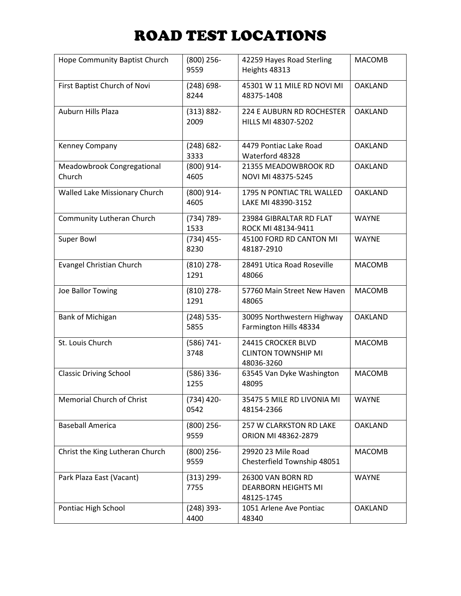| Hope Community Baptist Church        | $(800)$ 256-<br>9559  | 42259 Hayes Road Sterling<br>Heights 48313                     | <b>MACOMB</b>  |
|--------------------------------------|-----------------------|----------------------------------------------------------------|----------------|
| First Baptist Church of Novi         | $(248) 698 -$<br>8244 | 45301 W 11 MILE RD NOVI MI<br>48375-1408                       | <b>OAKLAND</b> |
| Auburn Hills Plaza                   | $(313) 882 -$<br>2009 | 224 E AUBURN RD ROCHESTER<br>HILLS MI 48307-5202               | <b>OAKLAND</b> |
| Kenney Company                       | $(248) 682 -$<br>3333 | 4479 Pontiac Lake Road<br>Waterford 48328                      | <b>OAKLAND</b> |
| Meadowbrook Congregational<br>Church | $(800)$ 914-<br>4605  | 21355 MEADOWBROOK RD<br>NOVI MI 48375-5245                     | <b>OAKLAND</b> |
| Walled Lake Missionary Church        | (800) 914-<br>4605    | 1795 N PONTIAC TRL WALLED<br>LAKE MI 48390-3152                | <b>OAKLAND</b> |
| Community Lutheran Church            | (734) 789-<br>1533    | 23984 GIBRALTAR RD FLAT<br>ROCK MI 48134-9411                  | <b>WAYNE</b>   |
| <b>Super Bowl</b>                    | $(734)$ 455-<br>8230  | 45100 FORD RD CANTON MI<br>48187-2910                          | <b>WAYNE</b>   |
| <b>Evangel Christian Church</b>      | $(810)$ 278-<br>1291  | 28491 Utica Road Roseville<br>48066                            | <b>MACOMB</b>  |
| Joe Ballor Towing                    | $(810)$ 278-<br>1291  | 57760 Main Street New Haven<br>48065                           | <b>MACOMB</b>  |
| <b>Bank of Michigan</b>              | $(248)$ 535-<br>5855  | 30095 Northwestern Highway<br>Farmington Hills 48334           | <b>OAKLAND</b> |
| St. Louis Church                     | $(586) 741 -$<br>3748 | 24415 CROCKER BLVD<br><b>CLINTON TOWNSHIP MI</b><br>48036-3260 | <b>MACOMB</b>  |
| <b>Classic Driving School</b>        | $(586)$ 336-<br>1255  | 63545 Van Dyke Washington<br>48095                             | <b>MACOMB</b>  |
| Memorial Church of Christ            | $(734)$ 420-<br>0542  | 35475 5 MILE RD LIVONIA MI<br>48154-2366                       | <b>WAYNE</b>   |
| <b>Baseball America</b>              | $(800)$ 256-<br>9559  | 257 W CLARKSTON RD LAKE<br>ORION MI 48362-2879                 | <b>OAKLAND</b> |
| Christ the King Lutheran Church      | $(800)$ 256-<br>9559  | 29920 23 Mile Road<br>Chesterfield Township 48051              | <b>MACOMB</b>  |
| Park Plaza East (Vacant)             | $(313) 299 -$<br>7755 | 26300 VAN BORN RD<br><b>DEARBORN HEIGHTS MI</b><br>48125-1745  | <b>WAYNE</b>   |
| Pontiac High School                  | $(248)$ 393-<br>4400  | 1051 Arlene Ave Pontiac<br>48340                               | <b>OAKLAND</b> |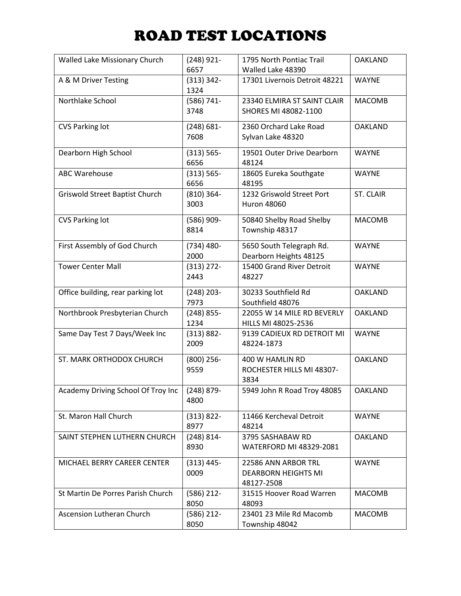| Walled Lake Missionary Church      | $(248)$ 921-          | 1795 North Pontiac Trail      | <b>OAKLAND</b>   |
|------------------------------------|-----------------------|-------------------------------|------------------|
|                                    | 6657                  | Walled Lake 48390             |                  |
| A & M Driver Testing               | $(313) 342 -$<br>1324 | 17301 Livernois Detroit 48221 | <b>WAYNE</b>     |
| Northlake School                   | $(586) 741 -$         | 23340 ELMIRA ST SAINT CLAIR   | <b>MACOMB</b>    |
|                                    | 3748                  | SHORES MI 48082-1100          |                  |
| <b>CVS Parking lot</b>             | $(248) 681 -$         | 2360 Orchard Lake Road        | <b>OAKLAND</b>   |
|                                    | 7608                  | Sylvan Lake 48320             |                  |
| Dearborn High School               | $(313) 565 -$         | 19501 Outer Drive Dearborn    | <b>WAYNE</b>     |
|                                    | 6656                  | 48124                         |                  |
| <b>ABC Warehouse</b>               | $(313) 565 -$         | 18605 Eureka Southgate        | <b>WAYNE</b>     |
|                                    | 6656                  | 48195                         |                  |
| Griswold Street Baptist Church     | $(810)$ 364-          | 1232 Griswold Street Port     | <b>ST. CLAIR</b> |
|                                    | 3003                  | <b>Huron 48060</b>            |                  |
| <b>CVS Parking lot</b>             | $(586)$ 909-          | 50840 Shelby Road Shelby      | <b>MACOMB</b>    |
|                                    | 8814                  | Township 48317                |                  |
| First Assembly of God Church       | $(734)$ 480-          | 5650 South Telegraph Rd.      | <b>WAYNE</b>     |
|                                    | 2000                  | Dearborn Heights 48125        |                  |
| <b>Tower Center Mall</b>           | $(313)$ 272-          | 15400 Grand River Detroit     | <b>WAYNE</b>     |
|                                    | 2443                  | 48227                         |                  |
| Office building, rear parking lot  | $(248)$ 203-          | 30233 Southfield Rd           | <b>OAKLAND</b>   |
|                                    | 7973                  | Southfield 48076              |                  |
| Northbrook Presbyterian Church     | $(248)$ 855-          | 22055 W 14 MILE RD BEVERLY    | <b>OAKLAND</b>   |
|                                    | 1234                  | HILLS MI 48025-2536           |                  |
| Same Day Test 7 Days/Week Inc      | $(313) 882 -$         | 9139 CADIEUX RD DETROIT MI    | <b>WAYNE</b>     |
|                                    | 2009                  | 48224-1873                    |                  |
| ST. MARK ORTHODOX CHURCH           | $(800)$ 256-          | 400 W HAMLIN RD               | <b>OAKLAND</b>   |
|                                    | 9559                  | ROCHESTER HILLS MI 48307-     |                  |
|                                    |                       | 3834                          |                  |
| Academy Driving School Of Troy Inc | $(248) 879 -$         | 5949 John R Road Troy 48085   | <b>OAKLAND</b>   |
|                                    | 4800                  |                               |                  |
| St. Maron Hall Church              | $(313) 822 -$         | 11466 Kercheval Detroit       | <b>WAYNE</b>     |
|                                    | 8977                  | 48214                         |                  |
| SAINT STEPHEN LUTHERN CHURCH       | $(248) 814 -$         | 3795 SASHABAW RD              | <b>OAKLAND</b>   |
|                                    | 8930                  | WATERFORD MI 48329-2081       |                  |
| MICHAEL BERRY CAREER CENTER        | $(313) 445 -$         | 22586 ANN ARBOR TRL           | <b>WAYNE</b>     |
|                                    | 0009                  | <b>DEARBORN HEIGHTS MI</b>    |                  |
|                                    |                       | 48127-2508                    |                  |
| St Martin De Porres Parish Church  | $(586)$ 212-          | 31515 Hoover Road Warren      | <b>MACOMB</b>    |
|                                    | 8050                  | 48093                         |                  |
| Ascension Lutheran Church          | $(586)$ 212-          | 23401 23 Mile Rd Macomb       | <b>MACOMB</b>    |
|                                    | 8050                  | Township 48042                |                  |